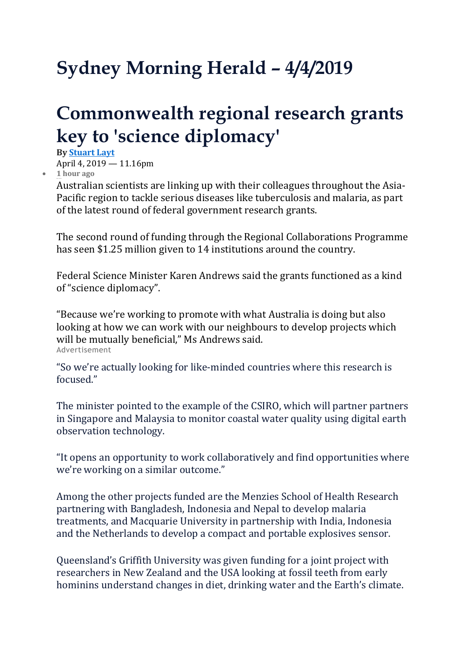## **Sydney Morning Herald – 4/4/2019**

## **Commonwealth regional research grants key to 'science diplomacy'**

**By [Stuart](https://www.smh.com.au/by/stuart-layt-h1a1yf) Layt**

April 4, 2019 — 11.16pm

• **1 hour ago**

Australian scientists are linking up with their colleagues throughout the Asia-Pacific region to tackle serious diseases like tuberculosis and malaria, as part of the latest round of federal government research grants.

The second round of funding through the Regional Collaborations Programme has seen \$1.25 million given to 14 institutions around the country.

Federal Science Minister Karen Andrews said the grants functioned as a kind of "science diplomacy".

"Because we're working to promote with what Australia is doing but also looking at how we can work with our neighbours to develop projects which will be mutually beneficial," Ms Andrews said. Advertisement

"So we're actually looking for like-minded countries where this research is focused."

The minister pointed to the example of the CSIRO, which will partner partners in Singapore and Malaysia to monitor coastal water quality using digital earth observation technology.

"It opens an opportunity to work collaboratively and find opportunities where we're working on a similar outcome."

Among the other projects funded are the Menzies School of Health Research partnering with Bangladesh, Indonesia and Nepal to develop malaria treatments, and Macquarie University in partnership with India, Indonesia and the Netherlands to develop a compact and portable explosives sensor.

Queensland's Griffith University was given funding for a joint project with researchers in New Zealand and the USA looking at fossil teeth from early hominins understand changes in diet, drinking water and the Earth's climate.